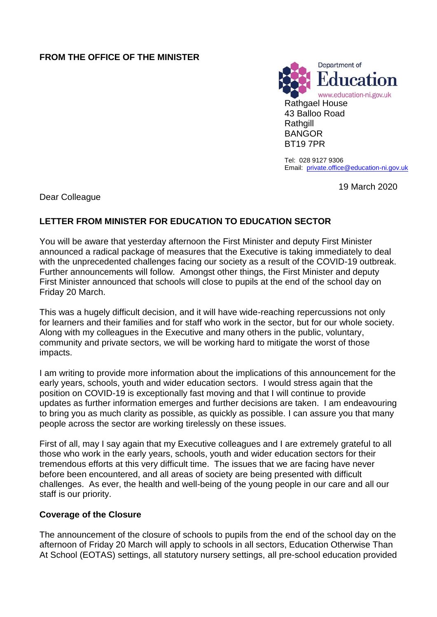## **FROM THE OFFICE OF THE MINISTER**



Tel: 028 9127 9306 Email: [private.office@education-ni.gov.uk](mailto:derek.baker@education-ni.gov.uk)

19 March 2020

Dear Colleague

# **LETTER FROM MINISTER FOR EDUCATION TO EDUCATION SECTOR**

You will be aware that yesterday afternoon the First Minister and deputy First Minister announced a radical package of measures that the Executive is taking immediately to deal with the unprecedented challenges facing our society as a result of the COVID-19 outbreak. Further announcements will follow. Amongst other things, the First Minister and deputy First Minister announced that schools will close to pupils at the end of the school day on Friday 20 March.

This was a hugely difficult decision, and it will have wide-reaching repercussions not only for learners and their families and for staff who work in the sector, but for our whole society. Along with my colleagues in the Executive and many others in the public, voluntary, community and private sectors, we will be working hard to mitigate the worst of those impacts.

I am writing to provide more information about the implications of this announcement for the early years, schools, youth and wider education sectors. I would stress again that the position on COVID-19 is exceptionally fast moving and that I will continue to provide updates as further information emerges and further decisions are taken. I am endeavouring to bring you as much clarity as possible, as quickly as possible. I can assure you that many people across the sector are working tirelessly on these issues.

First of all, may I say again that my Executive colleagues and I are extremely grateful to all those who work in the early years, schools, youth and wider education sectors for their tremendous efforts at this very difficult time. The issues that we are facing have never before been encountered, and all areas of society are being presented with difficult challenges. As ever, the health and well-being of the young people in our care and all our staff is our priority.

## **Coverage of the Closure**

The announcement of the closure of schools to pupils from the end of the school day on the afternoon of Friday 20 March will apply to schools in all sectors, Education Otherwise Than At School (EOTAS) settings, all statutory nursery settings, all pre-school education provided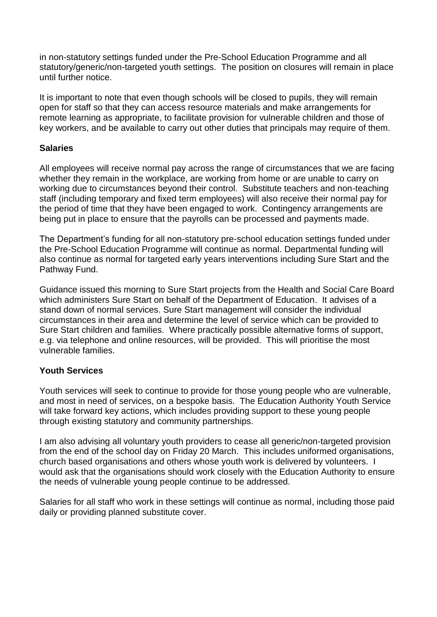in non-statutory settings funded under the Pre-School Education Programme and all statutory/generic/non-targeted youth settings. The position on closures will remain in place until further notice.

It is important to note that even though schools will be closed to pupils, they will remain open for staff so that they can access resource materials and make arrangements for remote learning as appropriate, to facilitate provision for vulnerable children and those of key workers, and be available to carry out other duties that principals may require of them.

#### **Salaries**

All employees will receive normal pay across the range of circumstances that we are facing whether they remain in the workplace, are working from home or are unable to carry on working due to circumstances beyond their control. Substitute teachers and non-teaching staff (including temporary and fixed term employees) will also receive their normal pay for the period of time that they have been engaged to work. Contingency arrangements are being put in place to ensure that the payrolls can be processed and payments made.

The Department's funding for all non-statutory pre-school education settings funded under the Pre-School Education Programme will continue as normal. Departmental funding will also continue as normal for targeted early years interventions including Sure Start and the Pathway Fund.

Guidance issued this morning to Sure Start projects from the Health and Social Care Board which administers Sure Start on behalf of the Department of Education. It advises of a stand down of normal services. Sure Start management will consider the individual circumstances in their area and determine the level of service which can be provided to Sure Start children and families. Where practically possible alternative forms of support, e.g. via telephone and online resources, will be provided. This will prioritise the most vulnerable families.

## **Youth Services**

Youth services will seek to continue to provide for those young people who are vulnerable, and most in need of services, on a bespoke basis. The Education Authority Youth Service will take forward key actions, which includes providing support to these young people through existing statutory and community partnerships.

I am also advising all voluntary youth providers to cease all generic/non-targeted provision from the end of the school day on Friday 20 March. This includes uniformed organisations, church based organisations and others whose youth work is delivered by volunteers. I would ask that the organisations should work closely with the Education Authority to ensure the needs of vulnerable young people continue to be addressed.

Salaries for all staff who work in these settings will continue as normal, including those paid daily or providing planned substitute cover.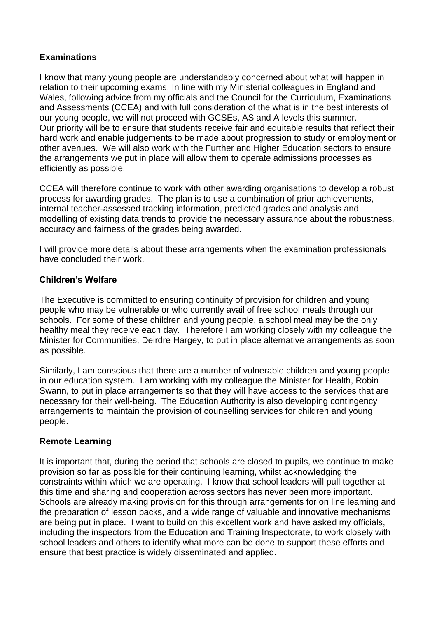## **Examinations**

I know that many young people are understandably concerned about what will happen in relation to their upcoming exams. In line with my Ministerial colleagues in England and Wales, following advice from my officials and the Council for the Curriculum, Examinations and Assessments (CCEA) and with full consideration of the what is in the best interests of our young people, we will not proceed with GCSEs, AS and A levels this summer. Our priority will be to ensure that students receive fair and equitable results that reflect their hard work and enable judgements to be made about progression to study or employment or other avenues. We will also work with the Further and Higher Education sectors to ensure the arrangements we put in place will allow them to operate admissions processes as efficiently as possible.

CCEA will therefore continue to work with other awarding organisations to develop a robust process for awarding grades. The plan is to use a combination of prior achievements, internal teacher-assessed tracking information, predicted grades and analysis and modelling of existing data trends to provide the necessary assurance about the robustness, accuracy and fairness of the grades being awarded.

I will provide more details about these arrangements when the examination professionals have concluded their work.

## **Children's Welfare**

The Executive is committed to ensuring continuity of provision for children and young people who may be vulnerable or who currently avail of free school meals through our schools. For some of these children and young people, a school meal may be the only healthy meal they receive each day. Therefore I am working closely with my colleague the Minister for Communities, Deirdre Hargey, to put in place alternative arrangements as soon as possible.

Similarly, I am conscious that there are a number of vulnerable children and young people in our education system. I am working with my colleague the Minister for Health, Robin Swann, to put in place arrangements so that they will have access to the services that are necessary for their well-being. The Education Authority is also developing contingency arrangements to maintain the provision of counselling services for children and young people.

## **Remote Learning**

It is important that, during the period that schools are closed to pupils, we continue to make provision so far as possible for their continuing learning, whilst acknowledging the constraints within which we are operating. I know that school leaders will pull together at this time and sharing and cooperation across sectors has never been more important. Schools are already making provision for this through arrangements for on line learning and the preparation of lesson packs, and a wide range of valuable and innovative mechanisms are being put in place. I want to build on this excellent work and have asked my officials, including the inspectors from the Education and Training Inspectorate, to work closely with school leaders and others to identify what more can be done to support these efforts and ensure that best practice is widely disseminated and applied.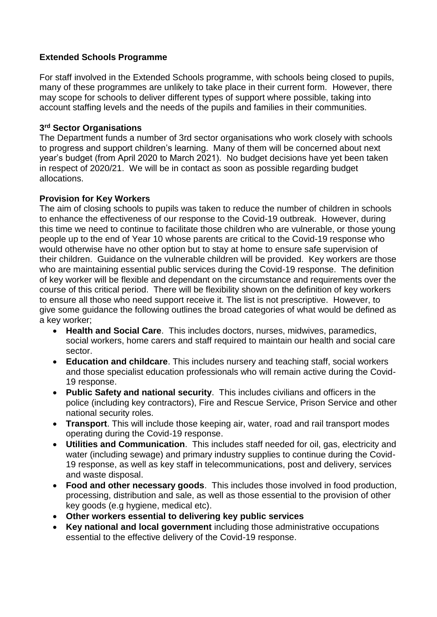## **Extended Schools Programme**

For staff involved in the Extended Schools programme, with schools being closed to pupils, many of these programmes are unlikely to take place in their current form. However, there may scope for schools to deliver different types of support where possible, taking into account staffing levels and the needs of the pupils and families in their communities.

## **3 rd Sector Organisations**

The Department funds a number of 3rd sector organisations who work closely with schools to progress and support children's learning. Many of them will be concerned about next year's budget (from April 2020 to March 2021). No budget decisions have yet been taken in respect of 2020/21. We will be in contact as soon as possible regarding budget allocations.

## **Provision for Key Workers**

The aim of closing schools to pupils was taken to reduce the number of children in schools to enhance the effectiveness of our response to the Covid-19 outbreak. However, during this time we need to continue to facilitate those children who are vulnerable, or those young people up to the end of Year 10 whose parents are critical to the Covid-19 response who would otherwise have no other option but to stay at home to ensure safe supervision of their children. Guidance on the vulnerable children will be provided. Key workers are those who are maintaining essential public services during the Covid-19 response. The definition of key worker will be flexible and dependant on the circumstance and requirements over the course of this critical period. There will be flexibility shown on the definition of key workers to ensure all those who need support receive it. The list is not prescriptive. However, to give some guidance the following outlines the broad categories of what would be defined as a key worker;

- **Health and Social Care**. This includes doctors, nurses, midwives, paramedics, social workers, home carers and staff required to maintain our health and social care sector.
- **Education and childcare**. This includes nursery and teaching staff, social workers and those specialist education professionals who will remain active during the Covid-19 response.
- **Public Safety and national security**. This includes civilians and officers in the police (including key contractors), Fire and Rescue Service, Prison Service and other national security roles.
- **Transport**. This will include those keeping air, water, road and rail transport modes operating during the Covid-19 response.
- **Utilities and Communication**. This includes staff needed for oil, gas, electricity and water (including sewage) and primary industry supplies to continue during the Covid-19 response, as well as key staff in telecommunications, post and delivery, services and waste disposal.
- **Food and other necessary goods**. This includes those involved in food production, processing, distribution and sale, as well as those essential to the provision of other key goods (e.g hygiene, medical etc).
- **Other workers essential to delivering key public services**
- **Key national and local government** including those administrative occupations essential to the effective delivery of the Covid-19 response.